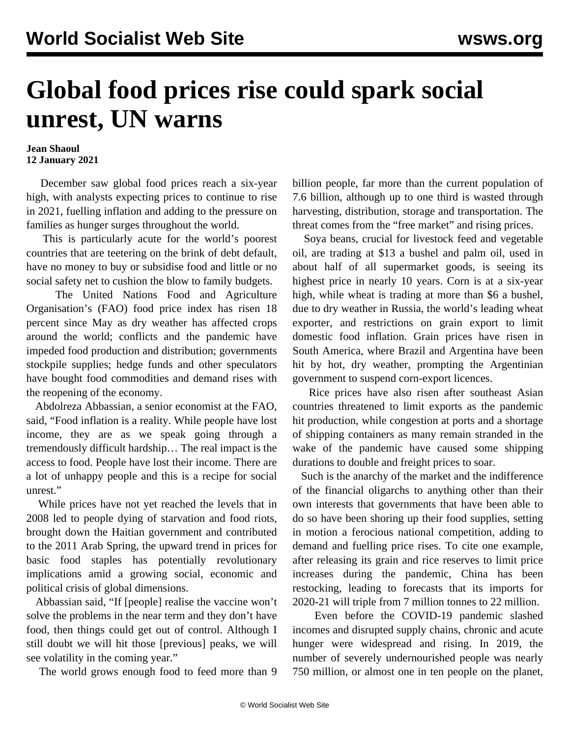## **Global food prices rise could spark social unrest, UN warns**

## **Jean Shaoul 12 January 2021**

 December saw global food prices reach a six-year high, with analysts expecting prices to continue to rise in 2021, fuelling inflation and adding to the pressure on families as hunger surges throughout the world.

 This is particularly acute for the world's poorest countries that are teetering on the brink of debt default, have no money to buy or subsidise food and little or no social safety net to cushion the blow to family budgets.

 The United Nations Food and Agriculture Organisation's (FAO) food price index has risen 18 percent since May as dry weather has affected crops around the world; conflicts and the pandemic have impeded food production and distribution; governments stockpile supplies; hedge funds and other speculators have bought food commodities and demand rises with the reopening of the economy.

 Abdolreza Abbassian, a senior economist at the FAO, said, "Food inflation is a reality. While people have lost income, they are as we speak going through a tremendously difficult hardship… The real impact is the access to food. People have lost their income. There are a lot of unhappy people and this is a recipe for social unrest."

 While prices have not yet reached the levels that in 2008 led to people dying of starvation and food riots, brought down the Haitian government and contributed to the 2011 Arab Spring, the upward trend in prices for basic food staples has potentially revolutionary implications amid a growing social, economic and political crisis of global dimensions.

 Abbassian said, "If [people] realise the vaccine won't solve the problems in the near term and they don't have food, then things could get out of control. Although I still doubt we will hit those [previous] peaks, we will see volatility in the coming year."

The world grows enough food to feed more than 9

billion people, far more than the current population of 7.6 billion, although up to one third is wasted through harvesting, distribution, storage and transportation. The threat comes from the "free market" and rising prices.

 Soya beans, crucial for livestock feed and vegetable oil, are trading at \$13 a bushel and palm oil, used in about half of all supermarket goods, is seeing its highest price in nearly 10 years. Corn is at a six-year high, while wheat is trading at more than \$6 a bushel, due to dry weather in Russia, the world's leading wheat exporter, and restrictions on grain export to limit domestic food inflation. Grain prices have risen in South America, where Brazil and Argentina have been hit by hot, dry weather, prompting the Argentinian government to suspend corn-export licences.

 Rice prices have also risen after southeast Asian countries threatened to limit exports as the pandemic hit production, while congestion at ports and a shortage of shipping containers as many remain stranded in the wake of the pandemic have caused some shipping durations to double and freight prices to soar.

 Such is the anarchy of the market and the indifference of the financial oligarchs to anything other than their own interests that governments that have been able to do so have been shoring up their food supplies, setting in motion a ferocious national competition, adding to demand and fuelling price rises. To cite one example, after releasing its grain and rice reserves to limit price increases during the pandemic, China has been restocking, leading to forecasts that its imports for 2020-21 will triple from 7 million tonnes to 22 million.

 Even before the COVID-19 pandemic slashed incomes and disrupted supply chains, chronic and acute hunger were widespread and rising. In 2019, the number of severely undernourished people was nearly 750 million, or almost one in ten people on the planet,